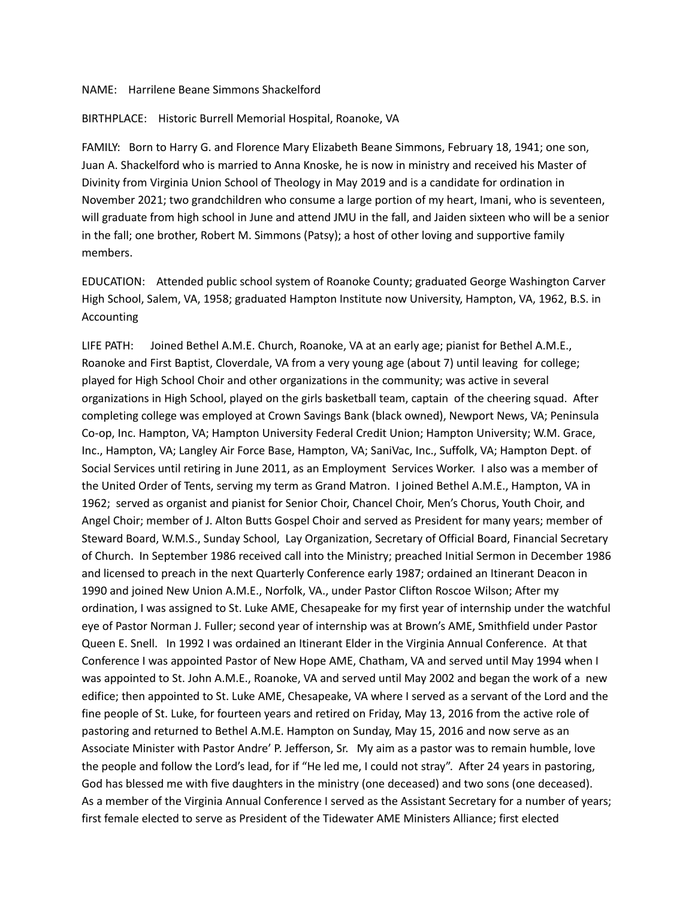## NAME: Harrilene Beane Simmons Shackelford

## BIRTHPLACE: Historic Burrell Memorial Hospital, Roanoke, VA

FAMILY: Born to Harry G. and Florence Mary Elizabeth Beane Simmons, February 18, 1941; one son, Juan A. Shackelford who is married to Anna Knoske, he is now in ministry and received his Master of Divinity from Virginia Union School of Theology in May 2019 and is a candidate for ordination in November 2021; two grandchildren who consume a large portion of my heart, Imani, who is seventeen, will graduate from high school in June and attend JMU in the fall, and Jaiden sixteen who will be a senior in the fall; one brother, Robert M. Simmons (Patsy); a host of other loving and supportive family members.

EDUCATION: Attended public school system of Roanoke County; graduated George Washington Carver High School, Salem, VA, 1958; graduated Hampton Institute now University, Hampton, VA, 1962, B.S. in Accounting

LIFE PATH: Joined Bethel A.M.E. Church, Roanoke, VA at an early age; pianist for Bethel A.M.E., Roanoke and First Baptist, Cloverdale, VA from a very young age (about 7) until leaving for college; played for High School Choir and other organizations in the community; was active in several organizations in High School, played on the girls basketball team, captain of the cheering squad. After completing college was employed at Crown Savings Bank (black owned), Newport News, VA; Peninsula Co-op, Inc. Hampton, VA; Hampton University Federal Credit Union; Hampton University; W.M. Grace, Inc., Hampton, VA; Langley Air Force Base, Hampton, VA; SaniVac, Inc., Suffolk, VA; Hampton Dept. of Social Services until retiring in June 2011, as an Employment Services Worker. I also was a member of the United Order of Tents, serving my term as Grand Matron. I joined Bethel A.M.E., Hampton, VA in 1962; served as organist and pianist for Senior Choir, Chancel Choir, Men's Chorus, Youth Choir, and Angel Choir; member of J. Alton Butts Gospel Choir and served as President for many years; member of Steward Board, W.M.S., Sunday School, Lay Organization, Secretary of Official Board, Financial Secretary of Church. In September 1986 received call into the Ministry; preached Initial Sermon in December 1986 and licensed to preach in the next Quarterly Conference early 1987; ordained an Itinerant Deacon in 1990 and joined New Union A.M.E., Norfolk, VA., under Pastor Clifton Roscoe Wilson; After my ordination, I was assigned to St. Luke AME, Chesapeake for my first year of internship under the watchful eye of Pastor Norman J. Fuller; second year of internship was at Brown's AME, Smithfield under Pastor Queen E. Snell. In 1992 I was ordained an Itinerant Elder in the Virginia Annual Conference. At that Conference I was appointed Pastor of New Hope AME, Chatham, VA and served until May 1994 when I was appointed to St. John A.M.E., Roanoke, VA and served until May 2002 and began the work of a new edifice; then appointed to St. Luke AME, Chesapeake, VA where I served as a servant of the Lord and the fine people of St. Luke, for fourteen years and retired on Friday, May 13, 2016 from the active role of pastoring and returned to Bethel A.M.E. Hampton on Sunday, May 15, 2016 and now serve as an Associate Minister with Pastor Andre' P. Jefferson, Sr. My aim as a pastor was to remain humble, love the people and follow the Lord's lead, for if "He led me, I could not stray". After 24 years in pastoring, God has blessed me with five daughters in the ministry (one deceased) and two sons (one deceased). As a member of the Virginia Annual Conference I served as the Assistant Secretary for a number of years; first female elected to serve as President of the Tidewater AME Ministers Alliance; first elected